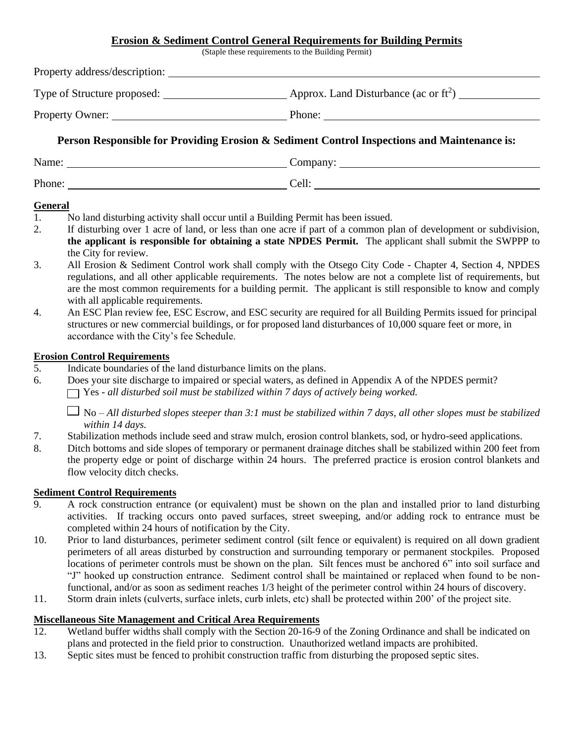## **Erosion & Sediment Control General Requirements for Building Permits**

(Staple these requirements to the Building Permit)

| Property address/description: |                                                 |
|-------------------------------|-------------------------------------------------|
| Type of Structure proposed:   | Approx. Land Disturbance (ac or $\text{ft}^2$ ) |
| <b>Property Owner:</b>        | Phone:                                          |
| __<br>.                       | .<br>$\sim$ $\sim$ $\sim$ $\sim$ $\sim$ $\sim$  |

# **Person Responsible for Providing Erosion & Sediment Control Inspections and Maintenance is:**

| Name:  | $\mathcal{L}$ ompany |
|--------|----------------------|
| Phone: | Cell                 |

## **General**

- 1. No land disturbing activity shall occur until a Building Permit has been issued.
- 2. If disturbing over 1 acre of land, or less than one acre if part of a common plan of development or subdivision, **the applicant is responsible for obtaining a state NPDES Permit.** The applicant shall submit the SWPPP to the City for review.
- 3. All Erosion & Sediment Control work shall comply with the Otsego City Code Chapter 4, Section 4, NPDES regulations, and all other applicable requirements. The notes below are not a complete list of requirements, but are the most common requirements for a building permit. The applicant is still responsible to know and comply with all applicable requirements.
- 4. An ESC Plan review fee, ESC Escrow, and ESC security are required for all Building Permits issued for principal structures or new commercial buildings, or for proposed land disturbances of 10,000 square feet or more, in accordance with the City's fee Schedule.

### **Erosion Control Requirements**

- 5. Indicate boundaries of the land disturbance limits on the plans.
- 6. Does your site discharge to impaired or special waters, as defined in Appendix A of the NPDES permit?
	- Yes *- all disturbed soil must be stabilized within 7 days of actively being worked.*

No – *All disturbed slopes steeper than 3:1 must be stabilized within 7 days, all other slopes must be stabilized within 14 days.*

- 7. Stabilization methods include seed and straw mulch, erosion control blankets, sod, or hydro-seed applications.
- 8. Ditch bottoms and side slopes of temporary or permanent drainage ditches shall be stabilized within 200 feet from the property edge or point of discharge within 24 hours. The preferred practice is erosion control blankets and flow velocity ditch checks.

## **Sediment Control Requirements**

- 9. A rock construction entrance (or equivalent) must be shown on the plan and installed prior to land disturbing activities. If tracking occurs onto paved surfaces, street sweeping, and/or adding rock to entrance must be completed within 24 hours of notification by the City.
- 10. Prior to land disturbances, perimeter sediment control (silt fence or equivalent) is required on all down gradient perimeters of all areas disturbed by construction and surrounding temporary or permanent stockpiles. Proposed locations of perimeter controls must be shown on the plan. Silt fences must be anchored 6" into soil surface and "J" hooked up construction entrance. Sediment control shall be maintained or replaced when found to be nonfunctional, and/or as soon as sediment reaches 1/3 height of the perimeter control within 24 hours of discovery.
- 11. Storm drain inlets (culverts, surface inlets, curb inlets, etc) shall be protected within 200' of the project site.

### **Miscellaneous Site Management and Critical Area Requirements**

- 12. Wetland buffer widths shall comply with the Section 20-16-9 of the Zoning Ordinance and shall be indicated on plans and protected in the field prior to construction. Unauthorized wetland impacts are prohibited.
- 13. Septic sites must be fenced to prohibit construction traffic from disturbing the proposed septic sites.